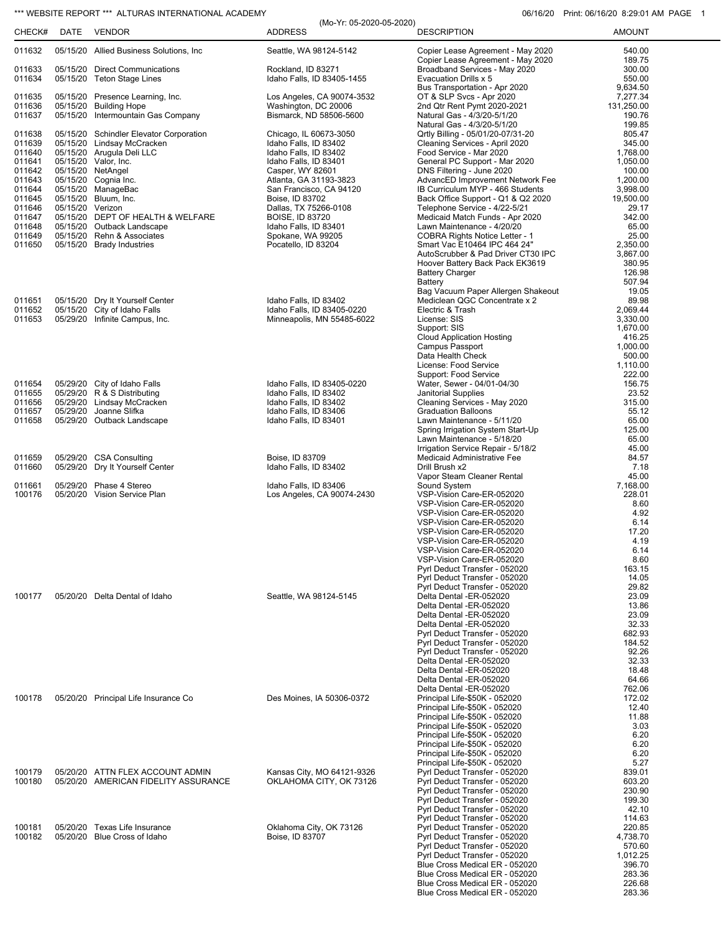## \*\*\* WEBSITE REPORT \*\*\* ALTURAS INTERNATIONAL ACADEMY **120 CONTRANTS 106/16/20** Print: 06/16/20 8:29:01 AM PAGE 1

|                  |                  |                                                                       | (Mo-Yr: 05-2020-05-2020)                            |                                                                     | 1.11111.00710720.02000171011. |
|------------------|------------------|-----------------------------------------------------------------------|-----------------------------------------------------|---------------------------------------------------------------------|-------------------------------|
| CHECK#           | DATE             | <b>VENDOR</b>                                                         | <b>ADDRESS</b>                                      | <b>DESCRIPTION</b>                                                  | <b>AMOUNT</b>                 |
| 011632           |                  | 05/15/20 Allied Business Solutions, Inc.                              | Seattle, WA 98124-5142                              | Copier Lease Agreement - May 2020                                   | 540.00                        |
| 011633           |                  | 05/15/20 Direct Communications                                        | Rockland, ID 83271                                  | Copier Lease Agreement - May 2020<br>Broadband Services - May 2020  | 189.75<br>300.00              |
| 011634           |                  | 05/15/20 Teton Stage Lines                                            | Idaho Falls, ID 83405-1455                          | Evacuation Drills x 5                                               | 550.00                        |
|                  |                  |                                                                       |                                                     | Bus Transportation - Apr 2020                                       | 9,634.50                      |
| 011635<br>011636 |                  | 05/15/20 Presence Learning, Inc.<br>05/15/20 Building Hope            | Los Angeles, CA 90074-3532<br>Washington, DC 20006  | OT & SLP Svcs - Apr 2020<br>2nd Qtr Rent Pymt 2020-2021             | 7,277.34<br>131,250.00        |
| 011637           |                  | 05/15/20 Intermountain Gas Company                                    | Bismarck, ND 58506-5600                             | Natural Gas - 4/3/20-5/1/20                                         | 190.76                        |
|                  |                  |                                                                       |                                                     | Natural Gas - 4/3/20-5/1/20                                         | 199.85                        |
| 011638<br>011639 |                  | 05/15/20 Schindler Elevator Corporation<br>05/15/20 Lindsay McCracken | Chicago, IL 60673-3050<br>Idaho Falls, ID 83402     | Qrtly Billing - 05/01/20-07/31-20<br>Cleaning Services - April 2020 | 805.47<br>345.00              |
| 011640           |                  | 05/15/20 Arugula Deli LLC                                             | Idaho Falls, ID 83402                               | Food Service - Mar 2020                                             | 1,768.00                      |
| 011641           |                  | 05/15/20 Valor, Inc.                                                  | Idaho Falls, ID 83401                               | General PC Support - Mar 2020                                       | 1,050.00                      |
| 011642<br>011643 |                  | 05/15/20 NetAngel<br>05/15/20 Cognia Inc.                             | Casper, WY 82601<br>Atlanta, GA 31193-3823          | DNS Filtering - June 2020<br>AdvancED Improvement Network Fee       | 100.00<br>1,200.00            |
| 011644           |                  | 05/15/20 ManageBac                                                    | San Francisco, CA 94120                             | IB Curriculum MYP - 466 Students                                    | 3,998.00                      |
| 011645<br>011646 | 05/15/20 Verizon | 05/15/20 Bluum, Inc.                                                  | Boise, ID 83702<br>Dallas, TX 75266-0108            | Back Office Support - Q1 & Q2 2020<br>Telephone Service - 4/22-5/21 | 19,500.00<br>29.17            |
| 011647           |                  | 05/15/20 DEPT OF HEALTH & WELFARE                                     | <b>BOISE, ID 83720</b>                              | Medicaid Match Funds - Apr 2020                                     | 342.00                        |
| 011648           |                  | 05/15/20 Outback Landscape                                            | Idaho Falls, ID 83401                               | Lawn Maintenance - 4/20/20                                          | 65.00                         |
| 011649<br>011650 |                  | 05/15/20 Rehn & Associates<br>05/15/20 Brady Industries               | Spokane, WA 99205<br>Pocatello, ID 83204            | COBRA Rights Notice Letter - 1<br>Smart Vac E10464 IPC 464 24"      | 25.00<br>2,350.00             |
|                  |                  |                                                                       |                                                     | AutoScrubber & Pad Driver CT30 IPC                                  | 3,867.00                      |
|                  |                  |                                                                       |                                                     | Hoover Battery Back Pack EK3619                                     | 380.95                        |
|                  |                  |                                                                       |                                                     | <b>Battery Charger</b><br>Battery                                   | 126.98<br>507.94              |
|                  |                  |                                                                       |                                                     | Bag Vacuum Paper Allergen Shakeout                                  | 19.05                         |
| 011651<br>011652 |                  | 05/15/20 Dry It Yourself Center<br>05/15/20 City of Idaho Falls       | Idaho Falls, ID 83402<br>Idaho Falls, ID 83405-0220 | Mediclean QGC Concentrate x 2<br>Electric & Trash                   | 89.98<br>2,069.44             |
| 011653           |                  | 05/29/20 Infinite Campus, Inc.                                        | Minneapolis, MN 55485-6022                          | License: SIS                                                        | 3,330.00                      |
|                  |                  |                                                                       |                                                     | Support: SIS                                                        | 1,670.00                      |
|                  |                  |                                                                       |                                                     | <b>Cloud Application Hosting</b><br>Campus Passport                 | 416.25<br>1,000.00            |
|                  |                  |                                                                       |                                                     | Data Health Check                                                   | 500.00                        |
|                  |                  |                                                                       |                                                     | License: Food Service                                               | 1,110.00                      |
| 011654           |                  | 05/29/20 City of Idaho Falls                                          | Idaho Falls, ID 83405-0220                          | Support: Food Service<br>Water, Sewer - 04/01-04/30                 | 222.00<br>156.75              |
| 011655           |                  | 05/29/20 R & S Distributing                                           | Idaho Falls, ID 83402                               | Janitorial Supplies                                                 | 23.52                         |
| 011656           |                  | 05/29/20 Lindsay McCracken                                            | Idaho Falls, ID 83402                               | Cleaning Services - May 2020                                        | 315.00                        |
| 011657<br>011658 |                  | 05/29/20 Joanne Slifka<br>05/29/20 Outback Landscape                  | Idaho Falls, ID 83406<br>Idaho Falls, ID 83401      | <b>Graduation Balloons</b><br>Lawn Maintenance - 5/11/20            | 55.12<br>65.00                |
|                  |                  |                                                                       |                                                     | Spring Irrigation System Start-Up                                   | 125.00                        |
|                  |                  |                                                                       |                                                     | Lawn Maintenance - 5/18/20<br>Irrigation Service Repair - 5/18/2    | 65.00<br>45.00                |
| 011659           |                  | 05/29/20 CSA Consulting                                               | Boise, ID 83709                                     | Medicaid Administrative Fee                                         | 84.57                         |
| 011660           |                  | 05/29/20 Dry It Yourself Center                                       | Idaho Falls, ID 83402                               | Drill Brush x2                                                      | 7.18                          |
| 011661           |                  | 05/29/20 Phase 4 Stereo                                               | Idaho Falls, ID 83406                               | Vapor Steam Cleaner Rental<br>Sound System                          | 45.00<br>7,168.00             |
| 100176           |                  | 05/20/20 Vision Service Plan                                          | Los Angeles, CA 90074-2430                          | VSP-Vision Care-ER-052020                                           | 228.01                        |
|                  |                  |                                                                       |                                                     | VSP-Vision Care-ER-052020                                           | 8.60                          |
|                  |                  |                                                                       |                                                     | VSP-Vision Care-ER-052020<br>VSP-Vision Care-ER-052020              | 4.92<br>6.14                  |
|                  |                  |                                                                       |                                                     | VSP-Vision Care-ER-052020                                           | 17.20                         |
|                  |                  |                                                                       |                                                     | VSP-Vision Care-ER-052020<br>VSP-Vision Care-ER-052020              | 4.19<br>6.14                  |
|                  |                  |                                                                       |                                                     | VSP-Vision Care-ER-052020                                           | 8.60                          |
|                  |                  |                                                                       |                                                     | Pvrl Deduct Transfer - 052020                                       | 163.15                        |
|                  |                  |                                                                       |                                                     | Pyrl Deduct Transfer - 052020<br>Pyrl Deduct Transfer - 052020      | 14.05<br>29.82                |
| 100177           |                  | 05/20/20 Delta Dental of Idaho                                        | Seattle, WA 98124-5145                              | Delta Dental -ER-052020                                             | 23.09                         |
|                  |                  |                                                                       |                                                     | Delta Dental -ER-052020                                             | 13.86<br>23.09                |
|                  |                  |                                                                       |                                                     | Delta Dental -ER-052020<br>Delta Dental -ER-052020                  | 32.33                         |
|                  |                  |                                                                       |                                                     | Pyrl Deduct Transfer - 052020                                       | 682.93                        |
|                  |                  |                                                                       |                                                     | Pyrl Deduct Transfer - 052020<br>Pyrl Deduct Transfer - 052020      | 184.52<br>92.26               |
|                  |                  |                                                                       |                                                     | Delta Dental -ER-052020                                             | 32.33                         |
|                  |                  |                                                                       |                                                     | Delta Dental -ER-052020                                             | 18.48                         |
|                  |                  |                                                                       |                                                     | Delta Dental -ER-052020<br>Delta Dental -ER-052020                  | 64.66<br>762.06               |
| 100178           |                  | 05/20/20 Principal Life Insurance Co                                  | Des Moines, IA 50306-0372                           | Principal Life-\$50K - 052020                                       | 172.02                        |
|                  |                  |                                                                       |                                                     | Principal Life-\$50K - 052020<br>Principal Life-\$50K - 052020      | 12.40<br>11.88                |
|                  |                  |                                                                       |                                                     | Principal Life-\$50K - 052020                                       | 3.03                          |
|                  |                  |                                                                       |                                                     | Principal Life-\$50K - 052020                                       | 6.20                          |
|                  |                  |                                                                       |                                                     | Principal Life-\$50K - 052020<br>Principal Life-\$50K - 052020      | 6.20<br>6.20                  |
|                  |                  |                                                                       |                                                     | Principal Life-\$50K - 052020                                       | 5.27                          |
| 100179           |                  | 05/20/20 ATTN FLEX ACCOUNT ADMIN                                      | Kansas City, MO 64121-9326                          | Pyrl Deduct Transfer - 052020                                       | 839.01                        |
| 100180           |                  | 05/20/20 AMERICAN FIDELITY ASSURANCE                                  | OKLAHOMA CITY, OK 73126                             | Pyrl Deduct Transfer - 052020<br>Pyrl Deduct Transfer - 052020      | 603.20<br>230.90              |
|                  |                  |                                                                       |                                                     | Pyrl Deduct Transfer - 052020                                       | 199.30                        |
|                  |                  |                                                                       |                                                     | Pyrl Deduct Transfer - 052020<br>Pyrl Deduct Transfer - 052020      | 42.10<br>114.63               |
| 100181           |                  | 05/20/20 Texas Life Insurance                                         | Oklahoma City, OK 73126                             | Pyrl Deduct Transfer - 052020                                       | 220.85                        |
| 100182           |                  | 05/20/20 Blue Cross of Idaho                                          | Boise, ID 83707                                     | Pyrl Deduct Transfer - 052020                                       | 4,738.70                      |
|                  |                  |                                                                       |                                                     | Pyrl Deduct Transfer - 052020<br>Pyrl Deduct Transfer - 052020      | 570.60<br>1,012.25            |
|                  |                  |                                                                       |                                                     | Blue Cross Medical ER - 052020                                      | 396.70                        |
|                  |                  |                                                                       |                                                     | Blue Cross Medical ER - 052020                                      | 283.36                        |
|                  |                  |                                                                       |                                                     | Blue Cross Medical ER - 052020<br>Blue Cross Medical ER - 052020    | 226.68<br>283.36              |
|                  |                  |                                                                       |                                                     |                                                                     |                               |